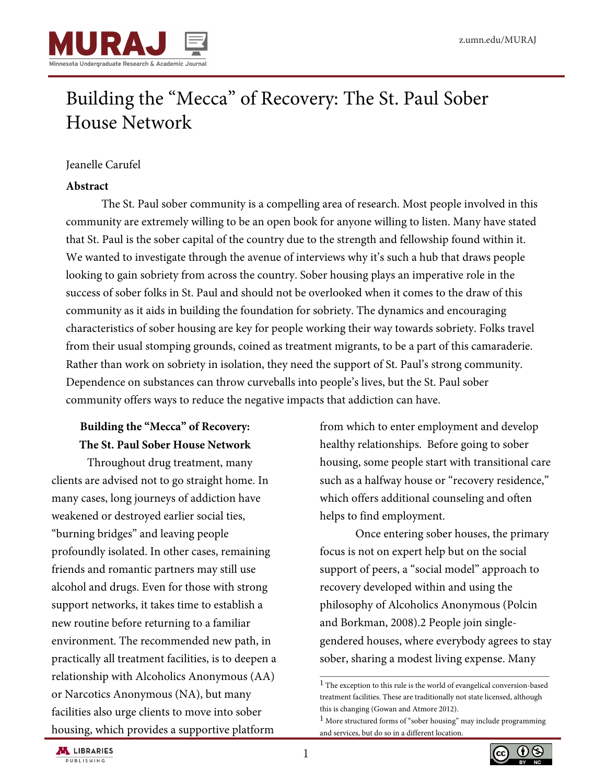

# Building the "Mecca" of Recovery: The St. Paul Sober House Network

## Jeanelle Carufel

## **Abstract**

The St. Paul sober community is a compelling area of research. Most people involved in this community are extremely willing to be an open book for anyone willing to listen. Many have stated that St. Paul is the sober capital of the country due to the strength and fellowship found within it. We wanted to investigate through the avenue of interviews why it's such a hub that draws people looking to gain sobriety from across the country. Sober housing plays an imperative role in the success of sober folks in St. Paul and should not be overlooked when it comes to the draw of this community as it aids in building the foundation for sobriety. The dynamics and encouraging characteristics of sober housing are key for people working their way towards sobriety. Folks travel from their usual stomping grounds, coined as treatment migrants, to be a part of this camaraderie. Rather than work on sobriety in isolation, they need the support of St. Paul's strong community. Dependence on substances can throw curveballs into people's lives, but the St. Paul sober community offers ways to reduce the negative impacts that addiction can have.

# **Building the "Mecca" of Recovery: The St. Paul Sober House Network**

Throughout drug treatment, many clients are advised not to go straight home. In many cases, long journeys of addiction have weakened or destroyed earlier social ties, "burning bridges" and leaving people profoundly isolated. In other cases, remaining friends and romantic partners may still use alcohol and drugs. Even for those with strong support networks, it takes time to establish a new routine before returning to a familiar environment. The recommended new path, in practically all treatment facilities, is to deepen a relationship with Alcoholics Anonymous (AA) or Narcotics Anonymous (NA), but many facilities also urge clients to move into sober housing, which provides a supportive platform

from which to enter employment and develop healthy relationships. Before going to sober housing, some people start with transitional care such as a halfway house or "recovery residence," which offers additional counseling and often helps to find employment.

Once entering sober houses, the primary focus is not on expert help but on the social support of peers, a "social model" approach to recovery developed within and using the philosophy of Alcoholics Anonymous (Polcin and Borkman, 2008).2 People join singlegendered houses, where everybody agrees to stay sober, sharing a modest living expense. Many

\_\_\_\_\_\_\_\_\_\_\_\_\_\_\_\_\_\_\_\_\_\_\_\_\_\_\_\_\_\_\_\_\_\_\_\_\_\_\_\_\_\_\_\_\_\_\_\_\_\_\_\_\_\_\_\_\_\_





 $^{\rm 1}$  The exception to this rule is the world of evangelical conversion-based treatment facilities. These are traditionally not state licensed, although this is changing (Gowan and Atmore 2012).

<sup>&</sup>lt;sup>1</sup> More structured forms of "sober housing" may include programming and services, but do so in a different location.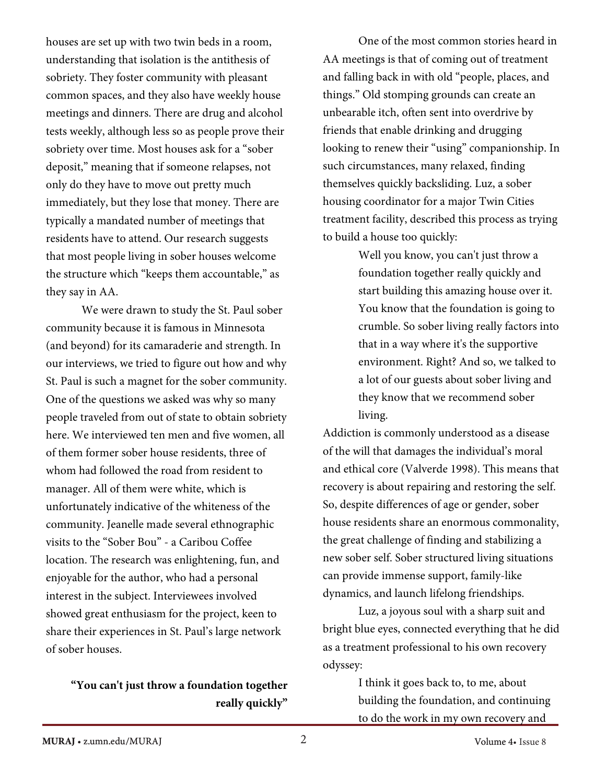houses are set up with two twin beds in a room, understanding that isolation is the antithesis of sobriety. They foster community with pleasant common spaces, and they also have weekly house meetings and dinners. There are drug and alcohol tests weekly, although less so as people prove their sobriety over time. Most houses ask for a "sober deposit," meaning that if someone relapses, not only do they have to move out pretty much immediately, but they lose that money. There are typically a mandated number of meetings that residents have to attend. Our research suggests that most people living in sober houses welcome the structure which "keeps them accountable," as they say in AA.

We were drawn to study the St. Paul sober community because it is famous in Minnesota (and beyond) for its camaraderie and strength. In our interviews, we tried to figure out how and why St. Paul is such a magnet for the sober community. One of the questions we asked was why so many people traveled from out of state to obtain sobriety here. We interviewed ten men and five women, all of them former sober house residents, three of whom had followed the road from resident to manager. All of them were white, which is unfortunately indicative of the whiteness of the community. Jeanelle made several ethnographic visits to the "Sober Bou" - a Caribou Coffee location. The research was enlightening, fun, and enjoyable for the author, who had a personal interest in the subject. Interviewees involved showed great enthusiasm for the project, keen to share their experiences in St. Paul's large network of sober houses.

## **"You can't just throw a foundation together really quickly"**

One of the most common stories heard in AA meetings is that of coming out of treatment and falling back in with old "people, places, and things." Old stomping grounds can create an unbearable itch, often sent into overdrive by friends that enable drinking and drugging looking to renew their "using" companionship. In such circumstances, many relaxed, finding themselves quickly backsliding. Luz, a sober housing coordinator for a major Twin Cities treatment facility, described this process as trying to build a house too quickly:

> Well you know, you can't just throw a foundation together really quickly and start building this amazing house over it. You know that the foundation is going to crumble. So sober living really factors into that in a way where it's the supportive environment. Right? And so, we talked to a lot of our guests about sober living and they know that we recommend sober living.

Addiction is commonly understood as a disease of the will that damages the individual's moral and ethical core (Valverde 1998). This means that recovery is about repairing and restoring the self. So, despite differences of age or gender, sober house residents share an enormous commonality, the great challenge of finding and stabilizing a new sober self. Sober structured living situations can provide immense support, family-like dynamics, and launch lifelong friendships.

Luz, a joyous soul with a sharp suit and bright blue eyes, connected everything that he did as a treatment professional to his own recovery odyssey:

> I think it goes back to, to me, about building the foundation, and continuing to do the work in my own recovery and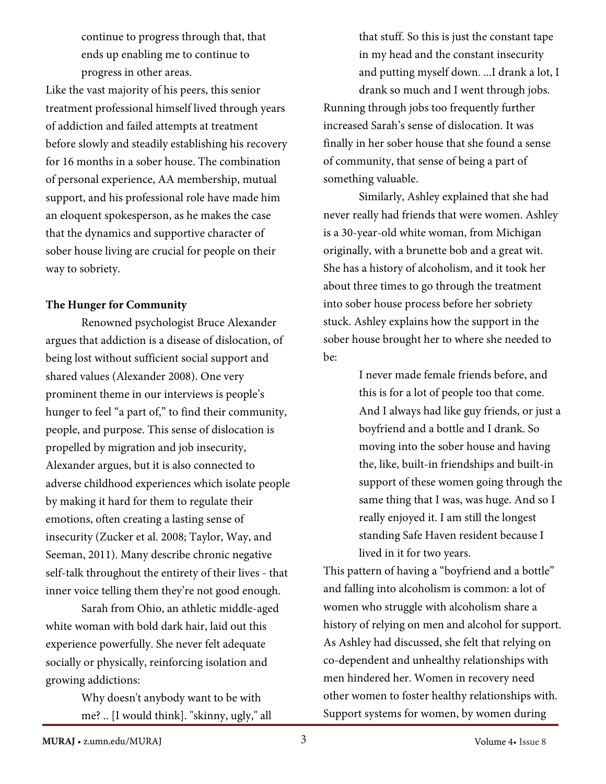continue to progress through that, that ends up enabling me to continue to progress in other areas.

Like the vast majority of his peers, this senior treatment professional himself lived through years of addiction and failed attempts at treatment before slowly and steadily establishing his recovery for 16 months in a sober house. The combination of personal experience, AA membership, mutual support, and his professional role have made him an eloquent spokesperson, as he makes the case that the dynamics and supportive character of sober house living are crucial for people on their way to sobriety.

### **The Hunger for Community**

Renowned psychologist Bruce Alexander argues that addiction is a disease of dislocation, of being lost without sufficient social support and shared values (Alexander 2008). One very prominent theme in our interviews is people's hunger to feel "a part of," to find their community, people, and purpose. This sense of dislocation is propelled by migration and job insecurity, Alexander argues, but it is also connected to adverse childhood experiences which isolate people by making it hard for them to regulate their emotions, often creating a lasting sense of insecurity (Zucker et al. 2008; Taylor, Way, and Seeman, 2011). Many describe chronic negative self-talk throughout the entirety of their lives - that inner voice telling them they're not good enough.

Sarah from Ohio, an athletic middle-aged white woman with bold dark hair, laid out this experience powerfully. She never felt adequate socially or physically, reinforcing isolation and growing addictions:

> Why doesn't anybody want to be with me? .. [I would think]. "skinny, ugly," all

that stuff. So this is just the constant tape in my head and the constant insecurity and putting myself down. ...I drank a lot, I drank so much and I went through jobs. Running through jobs too frequently further increased Sarah's sense of dislocation. It was finally in her sober house that she found a sense of community, that sense of being a part of something valuable.

Similarly, Ashley explained that she had never really had friends that were women. Ashley is a 30-year-old white woman, from Michigan originally, with a brunette bob and a great wit. She has a history of alcoholism, and it took her about three times to go through the treatment into sober house process before her sobriety stuck. Ashley explains how the support in the sober house brought her to where she needed to be:

> I never made female friends before, and this is for a lot of people too that come. And I always had like guy friends, or just a boyfriend and a bottle and I drank. So moving into the sober house and having the, like, built-in friendships and built-in support of these women going through the same thing that I was, was huge. And so I really enjoyed it. I am still the longest standing Safe Haven resident because I lived in it for two years.

This pattern of having a "boyfriend and a bottle" and falling into alcoholism is common: a lot of women who struggle with alcoholism share a history of relying on men and alcohol for support. As Ashley had discussed, she felt that relying on co-dependent and unhealthy relationships with men hindered her. Women in recovery need other women to foster healthy relationships with. Support systems for women, by women during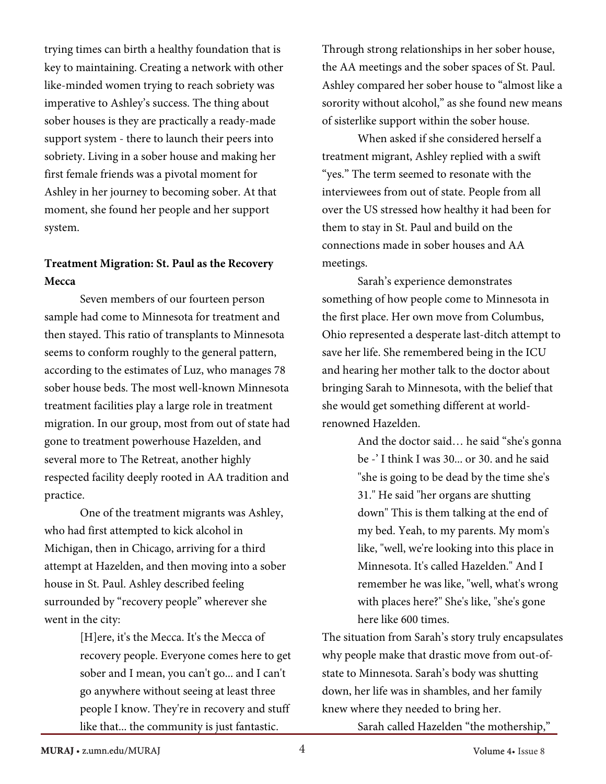trying times can birth a healthy foundation that is key to maintaining. Creating a network with other like-minded women trying to reach sobriety was imperative to Ashley's success. The thing about sober houses is they are practically a ready-made support system - there to launch their peers into sobriety. Living in a sober house and making her first female friends was a pivotal moment for Ashley in her journey to becoming sober. At that moment, she found her people and her support syste[m.](https://www.zotero.org/google-docs/?qKxxJ4)

# **Treatment Migration: St. Paul as the Recovery Mecca**

[Seven members of o](https://www.zotero.org/google-docs/?oYbhNb)ur fourteen person sample had come to Minnesota for treatment and then stayed. This ratio of transplants to Minnesota seems to conform roughly to the general pattern, according to the estimates of Luz, who manages 78 sober house beds. The most well-known Minnesota treatment facilities play a large role in treatment migration. In our group, most from out of state had gone to treatment powerhouse Hazelden, and several more to The Retreat, another highly respected facility deeply rooted in AA tradition and practice.

One of the treatment migrants was Ashley, who had first attempted to kick alcohol in Michigan, then in Chicago, arriving for a third attempt at Hazelden, and then moving into a sober house in St. Paul. Ashley described feeling surrounded by "recovery people" wherever she went in the city:

> [H]ere, it's the Mecca. It's the Mecca of recovery people. Everyone comes here to get sober and I mean, you can't go... and I can't go anywhere without seeing at least three people I know. They're in recovery and stuff like that... the community is just fantastic.

Through strong relationships in her sober house, the AA meetings and the sober spaces of St. Paul. Ashley compared her sober house to "almost like a sorority without alcohol," as she found new means of sisterlike support within the sober house.

 When asked if she considered herself a treatment migrant, Ashley replied with a swift "yes." The term seemed to resonate with the interviewees from out of state. People from all over the US stressed how health[y it had been f](https://www.zotero.org/google-docs/?qKxxJ4)or them to stay in St. Paul and build on the connections made in sober houses and AA meetings.

 [Sarah's experience demonstrates](https://www.zotero.org/google-docs/?oYbhNb)  something of how people come to Minnesota in the first place. Her own move from Columbus, Ohio represented a desperate last-ditch attempt to save her life. She remembered being in the ICU and hearing her mother talk to the doctor about bringing Sarah to Minnesota, with the belief that she would get something different at worldrenowned Hazelden.

> And the doctor said… he said "she's gonna be -' I think I was 30... or 30. and he said "she is going to be dead by the time she's 31." He said "her organs are shutting down" This is them talking at the end of my bed. Yeah, to my parents. My mom's like, "well, we're looking into this place in Minnesota. It's called Hazelden." And I remember he was like, "well, what's wrong with places here?" She's like, "she's gone here like 600 times.

The situation from Sarah's story truly encapsulates why people make that drastic move from out-ofstate to Minnesota. Sarah's body was shutting down, her life was in shambles, and her family knew where they needed to bring her.

Sarah called Hazelden "the mothership,"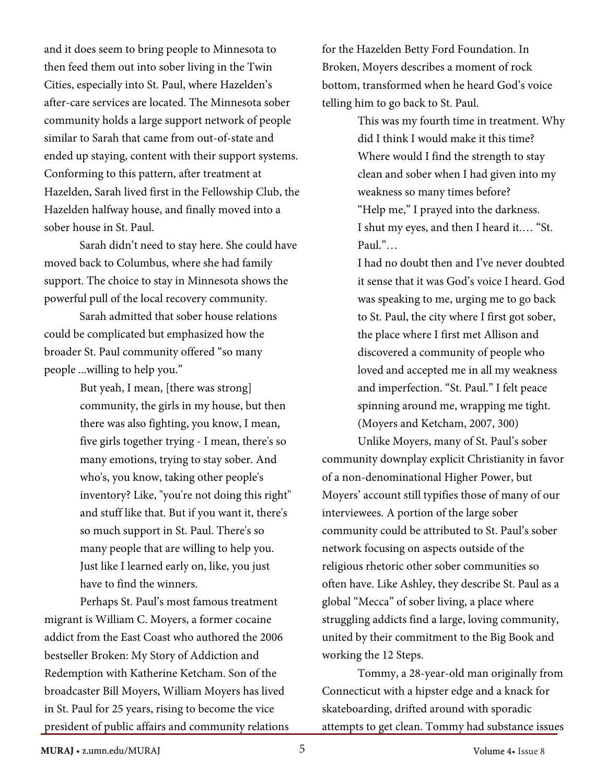and it does seem to bring people to Minnesota to then feed them out into sober living in the Twin Cities, especially into St. Paul, where Hazelden's after-care services are located. The Minnesota sober community holds a large support network of people similar to Sarah that came from out-of-state and ended up staying, content with their support systems. Conforming to this pattern, after treatment at Hazelden, Sarah lived first in the Fellowship Club, the Hazelden halfway house, and finally moved into a sober house in St. Paul.

Sarah didn't need to stay here. She could have moved back to Columbus, where she had family support. The choice to stay in Minnesota shows the powerful pull of the local recovery community.

Sarah admitted that sober house relations could be complicated but emphasized how the broader St. Paul community offered "so many people ...willing to help you."

> But yeah, I mean, [there was strong] community, the girls in my house, but then there was also fighting, you know, I mean, five girls together trying - I mean, there's so many emotions, trying to stay sober. And who's, you know, taking other people's inventory? Like, "you're not doing this right" and stuff like that. But if you want it, there's so much support in St. Paul. There's so many people that are willing to help you. Just like I learned early on, like, you just have to find the winners.

Perhaps St. Paul's most famous treatment migrant is William C. Moyers, a former cocaine addict from the East Coast who authored the 2006 bestseller Broken: My Story of Addiction and Redemption with Katherine Ketcham. Son of the broadcaster Bill Moyers, William Moyers has lived in St. Paul for 25 years, rising to become the vice president of public affairs and community relations for the Hazelden Betty Ford Foundation. In Broken, Moyers describes a moment of rock bottom, transformed when he heard God's voice telling him to go back to St. Paul.

> This was my fourth time in treatment. Why did I think I would make it this time? Where would I find the strength to stay clean and sober when I had given into my weakness so many times before? "Help me," I prayed into the darkness. I shut my eyes, and then I heard it.… "St. Paul."…

I had no doubt then and I've never doubted it sense that it was God's voice I heard. God was speaking to me, urging me to go back to St. Paul, the city where I first got sober, the place where I first met Allison and discovered a community of people who loved and accepted me in all my weakness and imperfection. "St. Paul." I felt peace spinning around me, wrapping me tight. (Moyers and Ketcham, 2007, 300)

Unlike Moyers, many of St. Paul's sober community downplay explicit Christianity in favor of a non-denominational Higher Power, but Moyers' account still typifies those of many of our interviewees. A portion of the large sober community could be attributed to St. Paul's sober network focusing on aspects outside of the religious rhetoric other sober communities so often have. Like Ashley, they describe St. Paul as a global "Mecca" of sober living, a place where struggling addicts find a large, loving community, united by their commitment to the Big Book and working the 12 Steps.

Tommy, a 28-year-old man originally from Connecticut with a hipster edge and a knack for skateboarding, drifted around with sporadic attempts to get clean. Tommy had substance issues

**MURAJ** • z.umn.edu/MURAJ Volume 4• Issue 8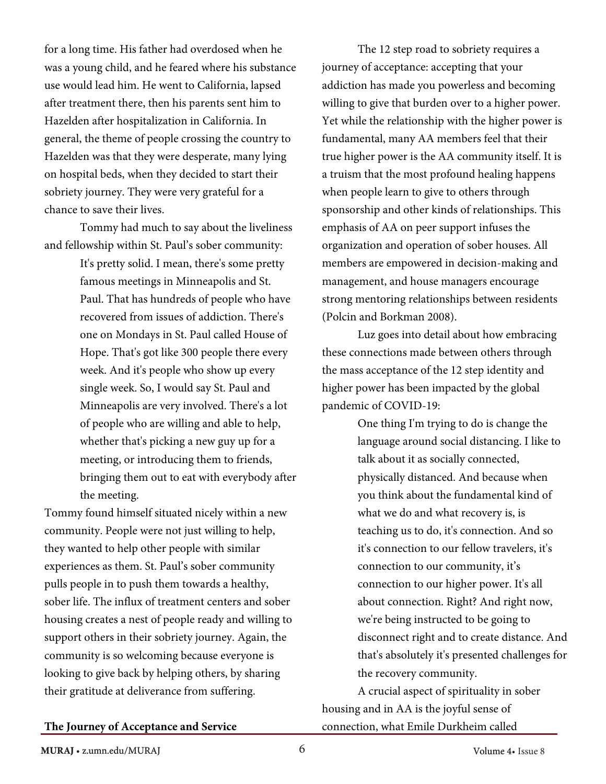for a long time. His father had overdosed when he was a young child, and he feared where his substance use would lead him. He went to California, lapsed after treatment there, then his parents sent him to Hazelden after hospitalization in California. In general, the theme of people crossing the country to Hazelden was that they were desperate, many lying on hospital beds, when they decided to start their sobriety journey. They were very grateful for a chance to save their lives.

Tommy had much to say about the liveliness and fellowship within St. Paul's sober community:

> It's pretty solid. I mean, there's some pretty famous meetings in Minneapolis and St. Paul. That has hundreds of people who have recovered from issues of addiction. There's one on Mondays in St. Paul called House of Hope. That's got like 300 people there every week. And it's people who show up every single week. So, I would say St. Paul and Minneapolis are very involved. There's a lot of people who are willing and able to help, whether that's picking a new guy up for a meeting, or introducing them to friends, bringing them out to eat with everybody after the meeting.

Tommy found himself situated nicely within a new community. People were not just [willing to help,](https://www.zotero.org/google-docs/?uSIIKR)  they wanted to help other people with similar experiences as them. St. Paul's sober community pulls people in to push them towards a healthy, sober life. The influx of treatment centers and sober housing creates a nest of people ready and willing to support others in their sobriety journey. Again, the community is so welcoming because everyone is looking to give back by helping others, by sharing their gratitude at deliverance from suffering.

The 12 step road to sobriety requires a journey of acceptance: accepting that your addiction has made you powerless and becoming willing to give that burden over to a higher power. Yet while the relationship with the higher power is fundamental, many AA members feel that their true higher power is the AA community itself. It is a truism that the most profound healing happens when people learn to give to others through sponsorship and other kinds of relationships. This emphasis of AA on peer support infuses the organization and operation of sober houses. All members are empowered in decision-making and management, and house managers encourage strong mentoring relationships between residents (Polcin and Borkman 2008).

Luz goes into detail about how embracing these connections made between others through the mass acceptance of the 12 step identity and higher power has been impacted by the global pandemic of COVID-19:

> One thing I'm trying to do is change the language around social distancing. I like to talk about it as socially connected, physically distanced. And because when you think about the fundamental kind of what we do and what recovery is, is teaching us to do, it's connection. And so it's connection to our fellow travelers, it's connection to our community, it's connection to our higher power. It's all about connection. Right? And right now, we're being instructed to be going to disconnect right and to create distance. And that's absolutely it's presented challenges for the recovery community.

A crucial aspect of spirituality in sober housing and in AA is the joyful sense of connection, what Emile Durkheim called

#### **The Journey of Acceptance and Service**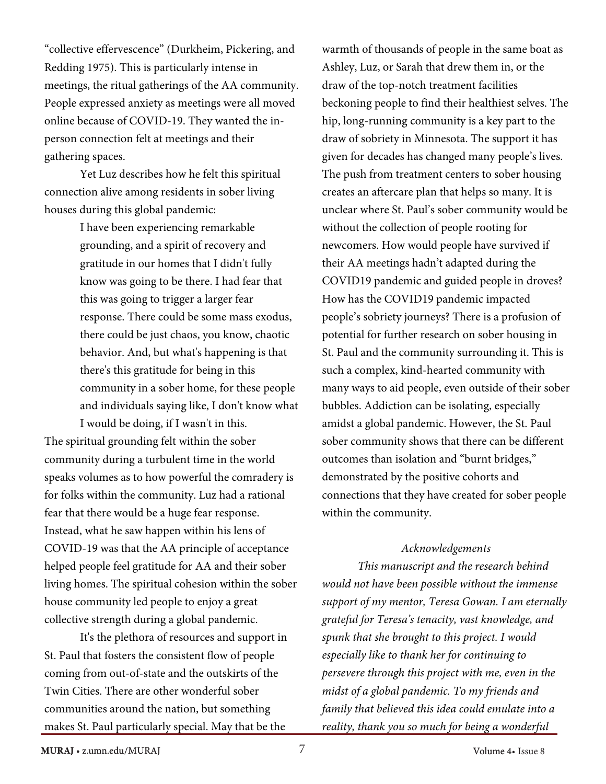"collective effervescence" (Durkheim, Pickering, and Redding 1975). This is particularly intense in meetings, the ritual gatherings of the AA community. People expressed anxiety as meetings were all moved online because of COVID-19. They wanted the inperson connection felt at meetings and their gathering spaces.

Yet Luz describes how he felt this spiritual connection alive among residents in sober living houses during this global pandemic:

> I have been experiencing remarkable grounding, and a spirit of recovery and gratitude in our homes that I didn't fully know was going to be there. I had fear that this was going to trigger a larger fear response. There could be some mass exodus, there could be just chaos, you know, chaotic behavior. And, but what's happening is that there's this gratitude for being in this community in a sober home, for these people and individuals saying like, I don't know what I would be doing, if I wasn't in this.

The spiritual grounding felt within the sober community during a turbulent time in the world speaks volumes as to how powerful the comradery is for folks within the community. Luz had a rational fear that there would be a huge fear response. Instead, what he saw happen within his lens of COVID-19 was that the AA principle of acceptance helped people feel gratitude for AA and their sober living homes. The spiritual cohesion within the sober house community led people to enjoy a great collective strength during a global pandemic.

It's the plethora of resources and support in St. Paul that fosters the consistent flow of people coming from out-of-state and the outskirts of the Twin Cities. There are other wonderful sober communities around the nation, but something makes St. Paul particularly special. May that be the

warmth of thousands of people in the same boat as Ashley, Luz, or Sarah that drew them in, or the draw of the top-notch treatment facilities beckoning people to find their healthiest selves. The hip, long-running community is a key part to the draw of sobriety in Minnesota. The support it has given for decades has changed many people's lives. The push from treatment centers to sober housing creates an aftercare plan that helps so many. It is unclear where St. Paul's sober community would be without the collection of people rooting for newcomers. How would people have survived if their AA meetings hadn't adapted during the COVID19 pandemic and guided people in droves? How has the COVID19 pandemic impacted people's sobriety journeys? There is a profusion of potential for further research on sober housing in St. Paul and the community surrounding it. This is such a complex, kind-hearted community with many ways to aid people, even outside of their sober bubbles. Addiction can be isolating, especially amidst a global pandemic. However, the St. Paul sober community shows that there can be different outcomes than isolation and "burnt bridges," demonstrated by the positive cohorts and connections that they have created for sober people within the community.

#### *Acknowledgements*

*This manuscript and the research behind would not have been possible without the immense support of my mentor, Teresa Gowan. I am eternally grateful for Teresa's tenacity, vast knowledge, and spunk that she brought to this project. I would especially like to thank her for continuing to persevere through this project with me, even in the midst of a global pandemic. To my friends and family that believed this idea could emulate into a reality, thank you so much for being a wonderful*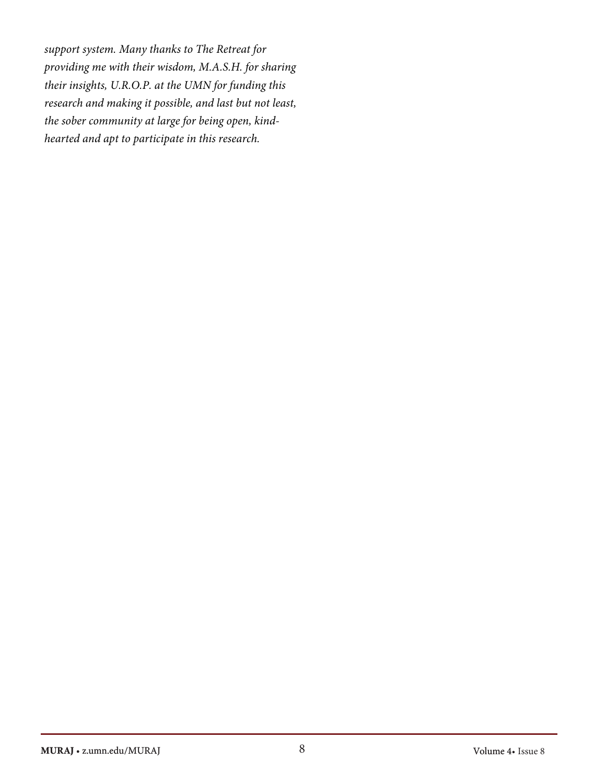*support system. Many thanks to The Retreat for providing me with their wisdom, M.A.S.H. for sharing their insights, U.R.O.P. at the UMN for funding this research and making it possible, and last but not least, the sober community at large for being open, kindhearted and apt to participate in this research.*